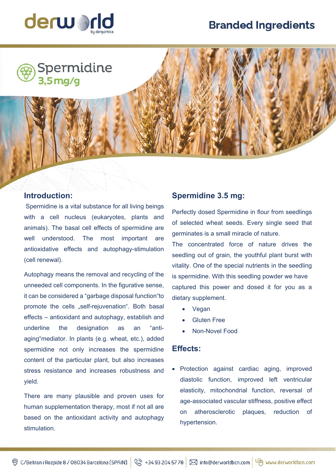# **Branded Ingredients**



# Spermidine<br>3,5mg/g

## **Introduction:**

 Spermidine is a vital substance for all living beings with a cell nucleus (eukaryotes, plants and animals). The basal cell effects of spermidine are well understood. The most important are antioxidative effects and autophagy-stimulation (cell renewal).

Autophagy means the removal and recycling of the unneeded cell components. In the figurative sense, it can be considered a "garbage disposal function"to promote the cells "self-rejuvenation". Both basal effects – antioxidant and autophagy, establish and underline the designation as an "antiaging"mediator. In plants (e.g. wheat, etc.), added spermidine not only increases the spermidine content of the particular plant, but also increases stress resistance and increases robustness and yield.

There are many plausible and proven uses for human supplementation therapy, most if not all are based on the antioxidant activity and autophagy stimulation.

# **Spermidine 3.5 mg:**

Perfectly dosed Spermidine in flour from seedlings of selected wheat seeds. Every single seed that germinates is a small miracle of nature.

The concentrated force of nature drives the seedling out of grain, the youthful plant burst with vitality. One of the special nutrients in the seedling is spermidine. With this seedling powder we have captured this power and dosed it for you as a dietary supplement.

- Vegan
- Gluten Free
- Non-Novel Food

### **Effects:**

 Protection against cardiac aging, improved diastolic function, improved left ventricular elasticity, mitochondrial function, reversal of age-associated vascular stiffness, positive effect on atherosclerotic plaques, reduction of hypertension.